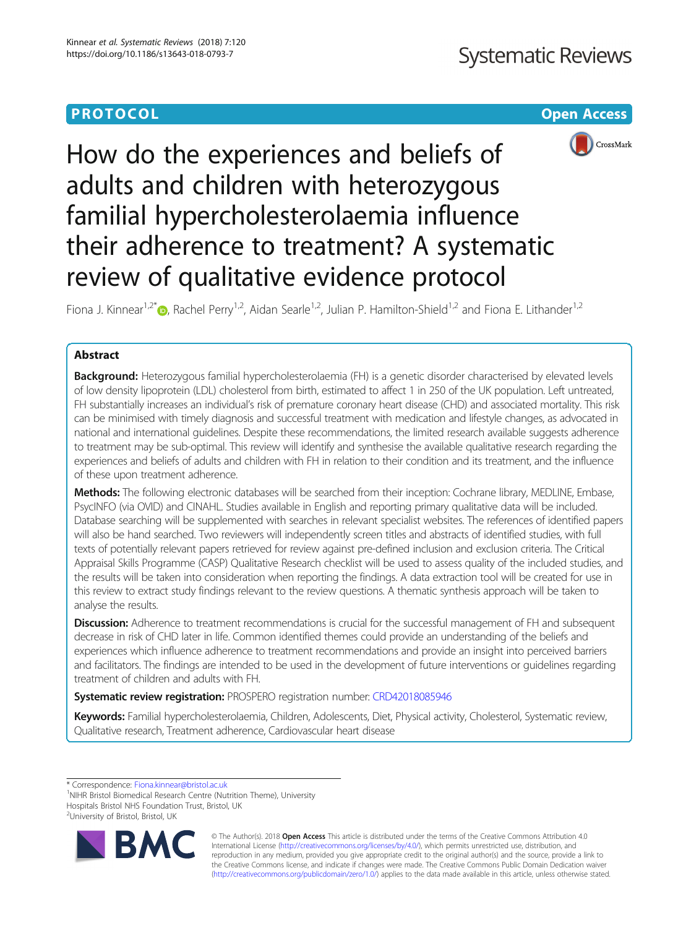# **PROTOCOL CONSUMING THE CONSUMING TEACHER CONSUMING THE CONSUMING TEACHER CONSUMING THE CONSUMING TEACHER CONSUMING THE CONSUMING TEACHER CONSUMING THE CONSUMING TEACHER CONSUMING THE CONSUMING TEACHER CONSUMING THE CONS**



# How do the experiences and beliefs of adults and children with heterozygous familial hypercholesterolaemia influence their adherence to treatment? A systematic review of qualitative evidence protocol

Fiona J. Kinnear<sup>1[,](http://orcid.org/0000-0002-4090-1554)2\*</sup> (D), Rachel Perry<sup>1,2</sup>, Aidan Searle<sup>1,2</sup>, Julian P. Hamilton-Shield<sup>1,2</sup> and Fiona E. Lithander<sup>1,2</sup>

# Abstract

Background: Heterozygous familial hypercholesterolaemia (FH) is a genetic disorder characterised by elevated levels of low density lipoprotein (LDL) cholesterol from birth, estimated to affect 1 in 250 of the UK population. Left untreated, FH substantially increases an individual's risk of premature coronary heart disease (CHD) and associated mortality. This risk can be minimised with timely diagnosis and successful treatment with medication and lifestyle changes, as advocated in national and international guidelines. Despite these recommendations, the limited research available suggests adherence to treatment may be sub-optimal. This review will identify and synthesise the available qualitative research regarding the experiences and beliefs of adults and children with FH in relation to their condition and its treatment, and the influence of these upon treatment adherence.

Methods: The following electronic databases will be searched from their inception: Cochrane library, MEDLINE, Embase, PsycINFO (via OVID) and CINAHL. Studies available in English and reporting primary qualitative data will be included. Database searching will be supplemented with searches in relevant specialist websites. The references of identified papers will also be hand searched. Two reviewers will independently screen titles and abstracts of identified studies, with full texts of potentially relevant papers retrieved for review against pre-defined inclusion and exclusion criteria. The Critical Appraisal Skills Programme (CASP) Qualitative Research checklist will be used to assess quality of the included studies, and the results will be taken into consideration when reporting the findings. A data extraction tool will be created for use in this review to extract study findings relevant to the review questions. A thematic synthesis approach will be taken to analyse the results.

Discussion: Adherence to treatment recommendations is crucial for the successful management of FH and subsequent decrease in risk of CHD later in life. Common identified themes could provide an understanding of the beliefs and experiences which influence adherence to treatment recommendations and provide an insight into perceived barriers and facilitators. The findings are intended to be used in the development of future interventions or guidelines regarding treatment of children and adults with FH.

Systematic review registration: PROSPERO registration number: [CRD42018085946](https://www.crd.york.ac.uk/prospero/display_record.php?RecordID=85946)

Keywords: Familial hypercholesterolaemia, Children, Adolescents, Diet, Physical activity, Cholesterol, Systematic review, Qualitative research, Treatment adherence, Cardiovascular heart disease

\* Correspondence: [Fiona.kinnear@bristol.ac.uk](mailto:Fiona.kinnear@bristol.ac.uk) <sup>1</sup>

<sup>1</sup>NIHR Bristol Biomedical Research Centre (Nutrition Theme), University Hospitals Bristol NHS Foundation Trust, Bristol, UK

<sup>2</sup>University of Bristol, Bristol, UK



© The Author(s). 2018 Open Access This article is distributed under the terms of the Creative Commons Attribution 4.0 International License [\(http://creativecommons.org/licenses/by/4.0/](http://creativecommons.org/licenses/by/4.0/)), which permits unrestricted use, distribution, and reproduction in any medium, provided you give appropriate credit to the original author(s) and the source, provide a link to the Creative Commons license, and indicate if changes were made. The Creative Commons Public Domain Dedication waiver [\(http://creativecommons.org/publicdomain/zero/1.0/](http://creativecommons.org/publicdomain/zero/1.0/)) applies to the data made available in this article, unless otherwise stated.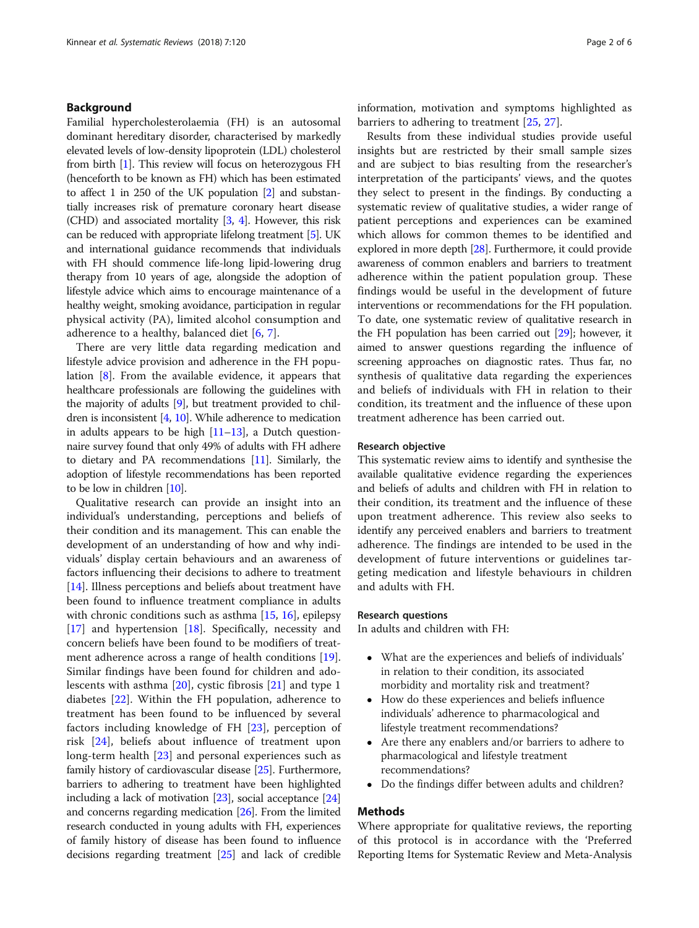# Background

Familial hypercholesterolaemia (FH) is an autosomal dominant hereditary disorder, characterised by markedly elevated levels of low-density lipoprotein (LDL) cholesterol from birth [[1\]](#page-4-0). This review will focus on heterozygous FH (henceforth to be known as FH) which has been estimated to affect 1 in 250 of the UK population [[2\]](#page-4-0) and substantially increases risk of premature coronary heart disease (CHD) and associated mortality [[3,](#page-4-0) [4](#page-4-0)]. However, this risk can be reduced with appropriate lifelong treatment [\[5](#page-4-0)]. UK and international guidance recommends that individuals with FH should commence life-long lipid-lowering drug therapy from 10 years of age, alongside the adoption of lifestyle advice which aims to encourage maintenance of a healthy weight, smoking avoidance, participation in regular physical activity (PA), limited alcohol consumption and adherence to a healthy, balanced diet [[6,](#page-4-0) [7\]](#page-4-0).

There are very little data regarding medication and lifestyle advice provision and adherence in the FH population [[8\]](#page-4-0). From the available evidence, it appears that healthcare professionals are following the guidelines with the majority of adults [[9](#page-5-0)], but treatment provided to children is inconsistent [\[4](#page-4-0), [10](#page-5-0)]. While adherence to medication in adults appears to be high  $[11–13]$  $[11–13]$  $[11–13]$  $[11–13]$ , a Dutch questionnaire survey found that only 49% of adults with FH adhere to dietary and PA recommendations [[11](#page-5-0)]. Similarly, the adoption of lifestyle recommendations has been reported to be low in children [\[10\]](#page-5-0).

Qualitative research can provide an insight into an individual's understanding, perceptions and beliefs of their condition and its management. This can enable the development of an understanding of how and why individuals' display certain behaviours and an awareness of factors influencing their decisions to adhere to treatment [[14\]](#page-5-0). Illness perceptions and beliefs about treatment have been found to influence treatment compliance in adults with chronic conditions such as asthma  $[15, 16]$  $[15, 16]$  $[15, 16]$ , epilepsy [[17\]](#page-5-0) and hypertension [\[18\]](#page-5-0). Specifically, necessity and concern beliefs have been found to be modifiers of treatment adherence across a range of health conditions [\[19](#page-5-0)]. Similar findings have been found for children and adolescents with asthma [[20\]](#page-5-0), cystic fibrosis [[21\]](#page-5-0) and type 1 diabetes [[22\]](#page-5-0). Within the FH population, adherence to treatment has been found to be influenced by several factors including knowledge of FH [[23\]](#page-5-0), perception of risk [\[24](#page-5-0)], beliefs about influence of treatment upon long-term health [[23\]](#page-5-0) and personal experiences such as family history of cardiovascular disease [[25](#page-5-0)]. Furthermore, barriers to adhering to treatment have been highlighted including a lack of motivation [\[23](#page-5-0)], social acceptance [[24](#page-5-0)] and concerns regarding medication [[26](#page-5-0)]. From the limited research conducted in young adults with FH, experiences of family history of disease has been found to influence decisions regarding treatment [\[25\]](#page-5-0) and lack of credible information, motivation and symptoms highlighted as barriers to adhering to treatment [[25,](#page-5-0) [27](#page-5-0)].

Results from these individual studies provide useful insights but are restricted by their small sample sizes and are subject to bias resulting from the researcher's interpretation of the participants' views, and the quotes they select to present in the findings. By conducting a systematic review of qualitative studies, a wider range of patient perceptions and experiences can be examined which allows for common themes to be identified and explored in more depth [[28](#page-5-0)]. Furthermore, it could provide awareness of common enablers and barriers to treatment adherence within the patient population group. These findings would be useful in the development of future interventions or recommendations for the FH population. To date, one systematic review of qualitative research in the FH population has been carried out [[29](#page-5-0)]; however, it aimed to answer questions regarding the influence of screening approaches on diagnostic rates. Thus far, no synthesis of qualitative data regarding the experiences and beliefs of individuals with FH in relation to their condition, its treatment and the influence of these upon treatment adherence has been carried out.

## Research objective

This systematic review aims to identify and synthesise the available qualitative evidence regarding the experiences and beliefs of adults and children with FH in relation to their condition, its treatment and the influence of these upon treatment adherence. This review also seeks to identify any perceived enablers and barriers to treatment adherence. The findings are intended to be used in the development of future interventions or guidelines targeting medication and lifestyle behaviours in children and adults with FH.

#### Research questions

In adults and children with FH:

- What are the experiences and beliefs of individuals' in relation to their condition, its associated morbidity and mortality risk and treatment?
- How do these experiences and beliefs influence individuals' adherence to pharmacological and lifestyle treatment recommendations?
- Are there any enablers and/or barriers to adhere to pharmacological and lifestyle treatment recommendations?
- Do the findings differ between adults and children?

#### Methods

Where appropriate for qualitative reviews, the reporting of this protocol is in accordance with the 'Preferred Reporting Items for Systematic Review and Meta-Analysis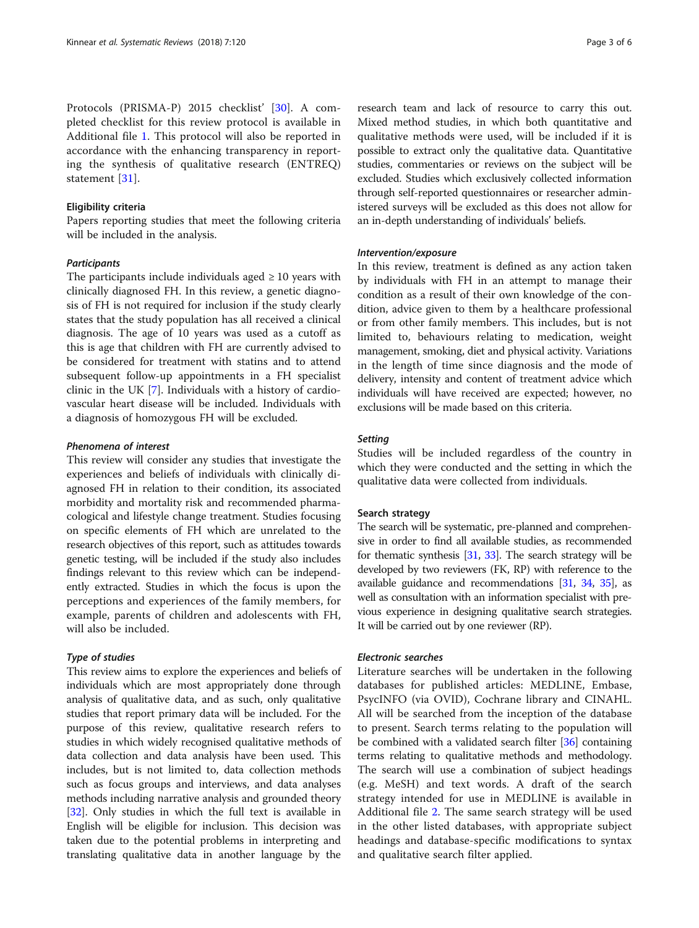Protocols (PRISMA-P) 2015 checklist' [\[30](#page-5-0)]. A completed checklist for this review protocol is available in Additional file [1.](#page-4-0) This protocol will also be reported in accordance with the enhancing transparency in reporting the synthesis of qualitative research (ENTREQ) statement [[31\]](#page-5-0).

#### Eligibility criteria

Papers reporting studies that meet the following criteria will be included in the analysis.

# **Participants**

The participants include individuals aged  $\geq 10$  years with clinically diagnosed FH. In this review, a genetic diagnosis of FH is not required for inclusion if the study clearly states that the study population has all received a clinical diagnosis. The age of 10 years was used as a cutoff as this is age that children with FH are currently advised to be considered for treatment with statins and to attend subsequent follow-up appointments in a FH specialist clinic in the UK [\[7](#page-4-0)]. Individuals with a history of cardiovascular heart disease will be included. Individuals with a diagnosis of homozygous FH will be excluded.

#### Phenomena of interest

This review will consider any studies that investigate the experiences and beliefs of individuals with clinically diagnosed FH in relation to their condition, its associated morbidity and mortality risk and recommended pharmacological and lifestyle change treatment. Studies focusing on specific elements of FH which are unrelated to the research objectives of this report, such as attitudes towards genetic testing, will be included if the study also includes findings relevant to this review which can be independently extracted. Studies in which the focus is upon the perceptions and experiences of the family members, for example, parents of children and adolescents with FH, will also be included.

# Type of studies

This review aims to explore the experiences and beliefs of individuals which are most appropriately done through analysis of qualitative data, and as such, only qualitative studies that report primary data will be included. For the purpose of this review, qualitative research refers to studies in which widely recognised qualitative methods of data collection and data analysis have been used. This includes, but is not limited to, data collection methods such as focus groups and interviews, and data analyses methods including narrative analysis and grounded theory [[32](#page-5-0)]. Only studies in which the full text is available in English will be eligible for inclusion. This decision was taken due to the potential problems in interpreting and translating qualitative data in another language by the

research team and lack of resource to carry this out. Mixed method studies, in which both quantitative and qualitative methods were used, will be included if it is possible to extract only the qualitative data. Quantitative studies, commentaries or reviews on the subject will be excluded. Studies which exclusively collected information through self-reported questionnaires or researcher administered surveys will be excluded as this does not allow for an in-depth understanding of individuals' beliefs.

#### Intervention/exposure

In this review, treatment is defined as any action taken by individuals with FH in an attempt to manage their condition as a result of their own knowledge of the condition, advice given to them by a healthcare professional or from other family members. This includes, but is not limited to, behaviours relating to medication, weight management, smoking, diet and physical activity. Variations in the length of time since diagnosis and the mode of delivery, intensity and content of treatment advice which individuals will have received are expected; however, no exclusions will be made based on this criteria.

# **Setting**

Studies will be included regardless of the country in which they were conducted and the setting in which the qualitative data were collected from individuals.

#### Search strategy

The search will be systematic, pre-planned and comprehensive in order to find all available studies, as recommended for thematic synthesis [\[31,](#page-5-0) [33](#page-5-0)]. The search strategy will be developed by two reviewers (FK, RP) with reference to the available guidance and recommendations [\[31,](#page-5-0) [34,](#page-5-0) [35\]](#page-5-0), as well as consultation with an information specialist with previous experience in designing qualitative search strategies. It will be carried out by one reviewer (RP).

# Electronic searches

Literature searches will be undertaken in the following databases for published articles: MEDLINE, Embase, PsycINFO (via OVID), Cochrane library and CINAHL. All will be searched from the inception of the database to present. Search terms relating to the population will be combined with a validated search filter [\[36\]](#page-5-0) containing terms relating to qualitative methods and methodology. The search will use a combination of subject headings (e.g. MeSH) and text words. A draft of the search strategy intended for use in MEDLINE is available in Additional file [2](#page-4-0). The same search strategy will be used in the other listed databases, with appropriate subject headings and database-specific modifications to syntax and qualitative search filter applied.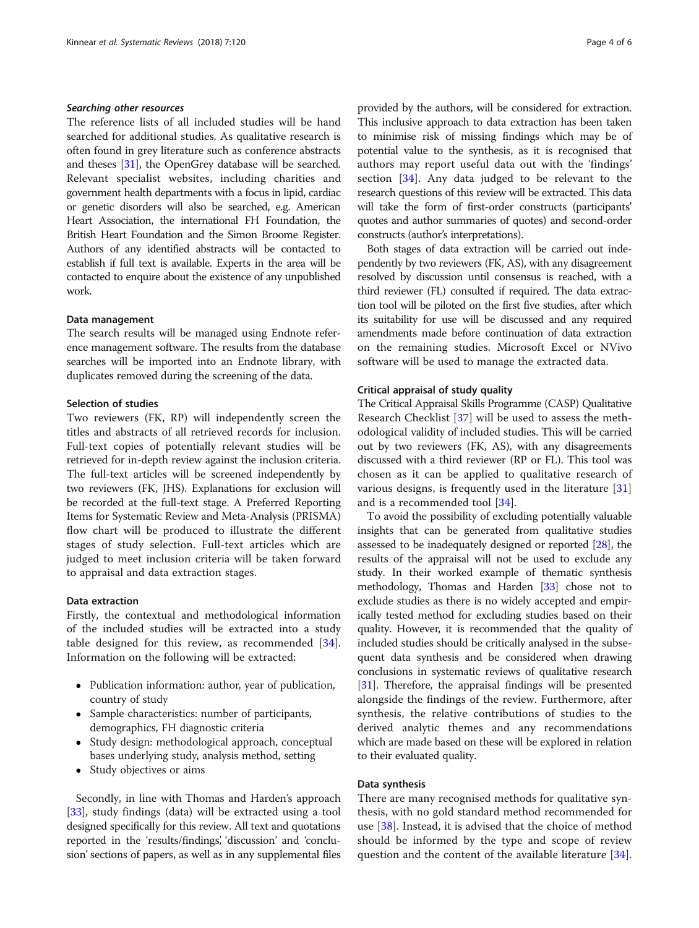# Searching other resources

The reference lists of all included studies will be hand searched for additional studies. As qualitative research is often found in grey literature such as conference abstracts and theses [[31](#page-5-0)], the OpenGrey database will be searched. Relevant specialist websites, including charities and government health departments with a focus in lipid, cardiac or genetic disorders will also be searched, e.g. American Heart Association, the international FH Foundation, the British Heart Foundation and the Simon Broome Register. Authors of any identified abstracts will be contacted to establish if full text is available. Experts in the area will be contacted to enquire about the existence of any unpublished work.

# Data management

The search results will be managed using Endnote reference management software. The results from the database searches will be imported into an Endnote library, with duplicates removed during the screening of the data.

# Selection of studies

Two reviewers (FK, RP) will independently screen the titles and abstracts of all retrieved records for inclusion. Full-text copies of potentially relevant studies will be retrieved for in-depth review against the inclusion criteria. The full-text articles will be screened independently by two reviewers (FK, JHS). Explanations for exclusion will be recorded at the full-text stage. A Preferred Reporting Items for Systematic Review and Meta-Analysis (PRISMA) flow chart will be produced to illustrate the different stages of study selection. Full-text articles which are judged to meet inclusion criteria will be taken forward to appraisal and data extraction stages.

# Data extraction

Firstly, the contextual and methodological information of the included studies will be extracted into a study table designed for this review, as recommended [\[34](#page-5-0)]. Information on the following will be extracted:

- Publication information: author, year of publication, country of study
- Sample characteristics: number of participants, demographics, FH diagnostic criteria
- Study design: methodological approach, conceptual bases underlying study, analysis method, setting
- Study objectives or aims

Secondly, in line with Thomas and Harden's approach [[33\]](#page-5-0), study findings (data) will be extracted using a tool designed specifically for this review. All text and quotations reported in the 'results/findings,' 'discussion' and 'conclusion' sections of papers, as well as in any supplemental files provided by the authors, will be considered for extraction. This inclusive approach to data extraction has been taken to minimise risk of missing findings which may be of potential value to the synthesis, as it is recognised that authors may report useful data out with the 'findings' section [\[34](#page-5-0)]. Any data judged to be relevant to the research questions of this review will be extracted. This data will take the form of first-order constructs (participants' quotes and author summaries of quotes) and second-order constructs (author's interpretations).

Both stages of data extraction will be carried out independently by two reviewers (FK, AS), with any disagreement resolved by discussion until consensus is reached, with a third reviewer (FL) consulted if required. The data extraction tool will be piloted on the first five studies, after which its suitability for use will be discussed and any required amendments made before continuation of data extraction on the remaining studies. Microsoft Excel or NVivo software will be used to manage the extracted data.

# Critical appraisal of study quality

The Critical Appraisal Skills Programme (CASP) Qualitative Research Checklist [[37\]](#page-5-0) will be used to assess the methodological validity of included studies. This will be carried out by two reviewers (FK, AS), with any disagreements discussed with a third reviewer (RP or FL). This tool was chosen as it can be applied to qualitative research of various designs, is frequently used in the literature [\[31](#page-5-0)] and is a recommended tool [[34](#page-5-0)].

To avoid the possibility of excluding potentially valuable insights that can be generated from qualitative studies assessed to be inadequately designed or reported [\[28\]](#page-5-0), the results of the appraisal will not be used to exclude any study. In their worked example of thematic synthesis methodology, Thomas and Harden [[33](#page-5-0)] chose not to exclude studies as there is no widely accepted and empirically tested method for excluding studies based on their quality. However, it is recommended that the quality of included studies should be critically analysed in the subsequent data synthesis and be considered when drawing conclusions in systematic reviews of qualitative research [[31](#page-5-0)]. Therefore, the appraisal findings will be presented alongside the findings of the review. Furthermore, after synthesis, the relative contributions of studies to the derived analytic themes and any recommendations which are made based on these will be explored in relation to their evaluated quality.

# Data synthesis

There are many recognised methods for qualitative synthesis, with no gold standard method recommended for use [[38\]](#page-5-0). Instead, it is advised that the choice of method should be informed by the type and scope of review question and the content of the available literature [\[34](#page-5-0)].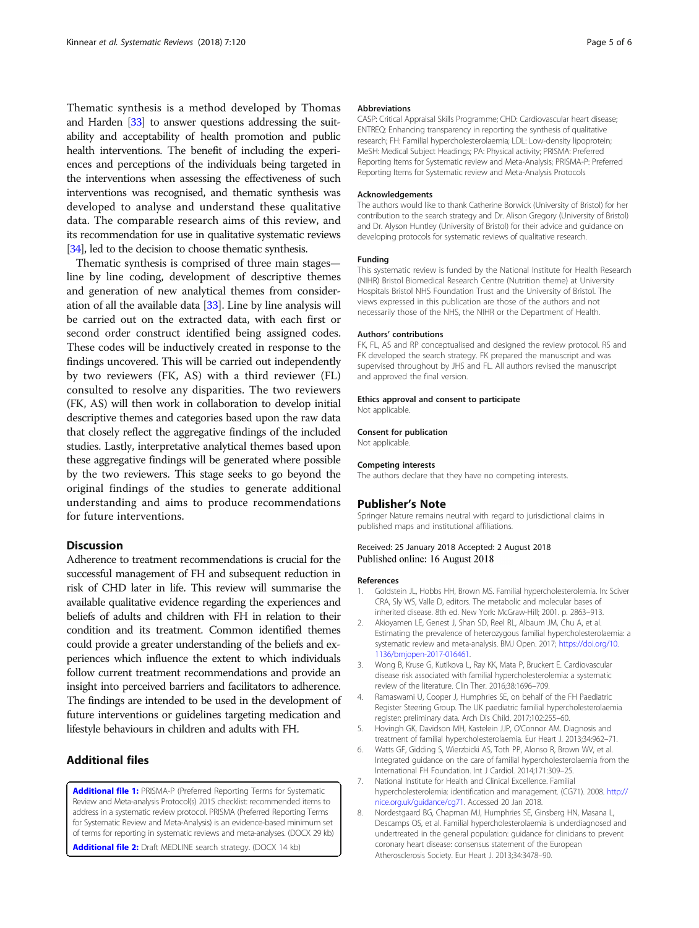<span id="page-4-0"></span>Thematic synthesis is a method developed by Thomas and Harden [\[33\]](#page-5-0) to answer questions addressing the suitability and acceptability of health promotion and public health interventions. The benefit of including the experiences and perceptions of the individuals being targeted in the interventions when assessing the effectiveness of such interventions was recognised, and thematic synthesis was developed to analyse and understand these qualitative data. The comparable research aims of this review, and its recommendation for use in qualitative systematic reviews [[34\]](#page-5-0), led to the decision to choose thematic synthesis.

Thematic synthesis is comprised of three main stages line by line coding, development of descriptive themes and generation of new analytical themes from consideration of all the available data [\[33\]](#page-5-0). Line by line analysis will be carried out on the extracted data, with each first or second order construct identified being assigned codes. These codes will be inductively created in response to the findings uncovered. This will be carried out independently by two reviewers (FK, AS) with a third reviewer (FL) consulted to resolve any disparities. The two reviewers (FK, AS) will then work in collaboration to develop initial descriptive themes and categories based upon the raw data that closely reflect the aggregative findings of the included studies. Lastly, interpretative analytical themes based upon these aggregative findings will be generated where possible by the two reviewers. This stage seeks to go beyond the original findings of the studies to generate additional understanding and aims to produce recommendations for future interventions.

# **Discussion**

Adherence to treatment recommendations is crucial for the successful management of FH and subsequent reduction in risk of CHD later in life. This review will summarise the available qualitative evidence regarding the experiences and beliefs of adults and children with FH in relation to their condition and its treatment. Common identified themes could provide a greater understanding of the beliefs and experiences which influence the extent to which individuals follow current treatment recommendations and provide an insight into perceived barriers and facilitators to adherence. The findings are intended to be used in the development of future interventions or guidelines targeting medication and lifestyle behaviours in children and adults with FH.

# Additional files

[Additional file 1:](https://doi.org/10.1186/s13643-018-0793-7) PRISMA-P (Preferred Reporting Terms for Systematic Review and Meta-analysis Protocol(s) 2015 checklist: recommended items to address in a systematic review protocol. PRISMA (Preferred Reporting Terms for Systematic Review and Meta-Analysis) is an evidence-based minimum set of terms for reporting in systematic reviews and meta-analyses. (DOCX 29 kb) [Additional file 2:](https://doi.org/10.1186/s13643-018-0793-7) Draft MEDLINE search strategy. (DOCX 14 kb)

#### Abbreviations

CASP: Critical Appraisal Skills Programme; CHD: Cardiovascular heart disease; ENTREQ: Enhancing transparency in reporting the synthesis of qualitative research; FH: Familial hypercholesterolaemia; LDL: Low-density lipoprotein; MeSH: Medical Subject Headings; PA: Physical activity; PRISMA: Preferred Reporting Items for Systematic review and Meta-Analysis; PRISMA-P: Preferred Reporting Items for Systematic review and Meta-Analysis Protocols

#### Acknowledgements

The authors would like to thank Catherine Borwick (University of Bristol) for her contribution to the search strategy and Dr. Alison Gregory (University of Bristol) and Dr. Alyson Huntley (University of Bristol) for their advice and guidance on developing protocols for systematic reviews of qualitative research.

#### Funding

This systematic review is funded by the National Institute for Health Research (NIHR) Bristol Biomedical Research Centre (Nutrition theme) at University Hospitals Bristol NHS Foundation Trust and the University of Bristol. The views expressed in this publication are those of the authors and not necessarily those of the NHS, the NIHR or the Department of Health.

#### Authors' contributions

FK, FL, AS and RP conceptualised and designed the review protocol. RS and FK developed the search strategy. FK prepared the manuscript and was supervised throughout by JHS and FL. All authors revised the manuscript and approved the final version.

#### Ethics approval and consent to participate

Not applicable.

#### Consent for publication

Not applicable.

#### Competing interests

The authors declare that they have no competing interests.

# Publisher's Note

Springer Nature remains neutral with regard to jurisdictional claims in published maps and institutional affiliations.

#### Received: 25 January 2018 Accepted: 2 August 2018 Published online: 16 August 2018

#### References

- 1. Goldstein JL, Hobbs HH, Brown MS. Familial hypercholesterolemia. In: Sciver CRA, Sly WS, Valle D, editors. The metabolic and molecular bases of inherited disease. 8th ed. New York: McGraw-Hill; 2001. p. 2863–913.
- 2. Akioyamen LE, Genest J, Shan SD, Reel RL, Albaum JM, Chu A, et al. Estimating the prevalence of heterozygous familial hypercholesterolaemia: a systematic review and meta-analysis. BMJ Open. 2017; [https://doi.org/10.](https://doi.org/10.1136/bmjopen-2017-016461) [1136/bmjopen-2017-016461](https://doi.org/10.1136/bmjopen-2017-016461).
- 3. Wong B, Kruse G, Kutikova L, Ray KK, Mata P, Bruckert E. Cardiovascular disease risk associated with familial hypercholesterolemia: a systematic review of the literature. Clin Ther. 2016;38:1696–709.
- 4. Ramaswami U, Cooper J, Humphries SE, on behalf of the FH Paediatric Register Steering Group. The UK paediatric familial hypercholesterolaemia register: preliminary data. Arch Dis Child. 2017;102:255–60.
- 5. Hovingh GK, Davidson MH, Kastelein JJP, O'Connor AM. Diagnosis and treatment of familial hypercholesterolaemia. Eur Heart J. 2013;34:962–71.
- 6. Watts GF, Gidding S, Wierzbicki AS, Toth PP, Alonso R, Brown WV, et al. Integrated guidance on the care of familial hypercholesterolaemia from the International FH Foundation. Int J Cardiol. 2014;171:309–25.
- 7. National Institute for Health and Clinical Excellence. Familial hypercholesterolemia: identification and management. (CG71). 2008. [http://](http://nice.org.uk/guidance/cg71) [nice.org.uk/guidance/cg71](http://nice.org.uk/guidance/cg71). Accessed 20 Jan 2018.
- 8. Nordestgaard BG, Chapman MJ, Humphries SE, Ginsberg HN, Masana L, Descamps OS, et al. Familial hypercholesterolaemia is underdiagnosed and undertreated in the general population: guidance for clinicians to prevent coronary heart disease: consensus statement of the European Atherosclerosis Society. Eur Heart J. 2013;34:3478–90.